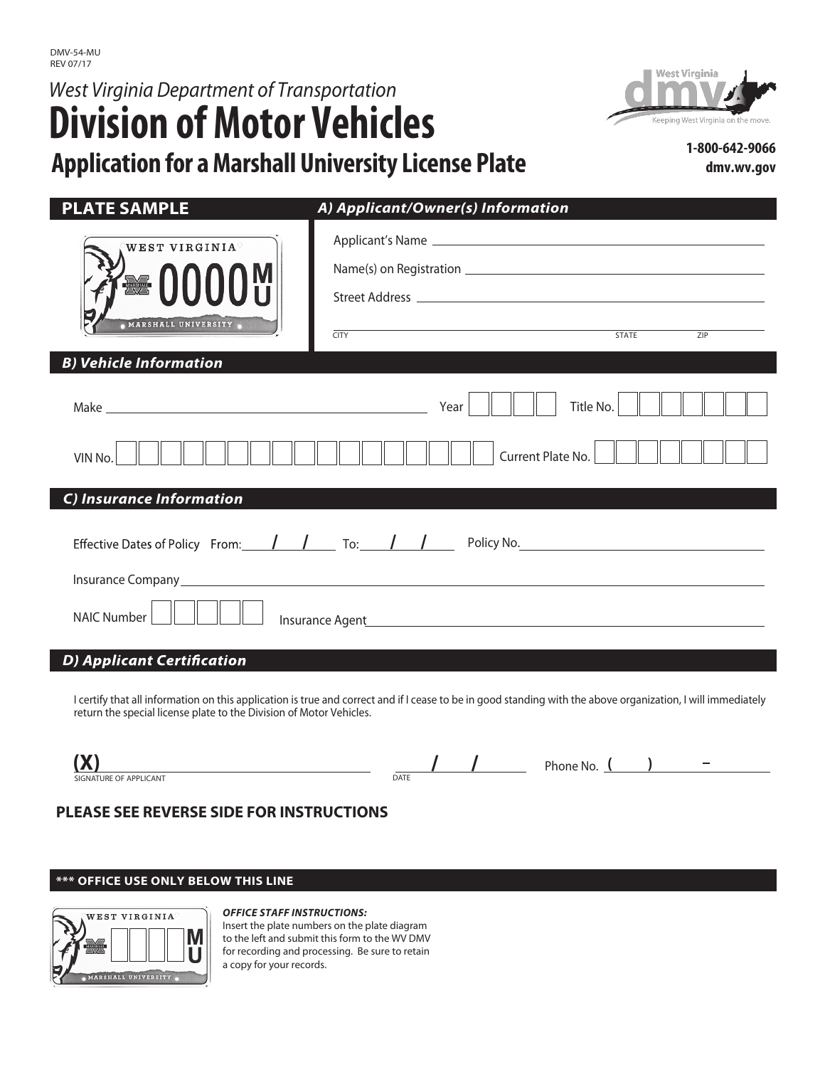# *West Virginia Department of Transportation*  **Division of Motor Vehicles Application for aMarshall University License Plate**



**1-800-642-9066 dmv.wv.gov**

| <b>PLATE SAMPLE</b>                                                                   | A) Applicant/Owner(s) Information                                                                                                                                                                                              |  |
|---------------------------------------------------------------------------------------|--------------------------------------------------------------------------------------------------------------------------------------------------------------------------------------------------------------------------------|--|
| WEST VIRGINIA <sup>®</sup><br><sup>⁄</sup> <sup>ਅ</sup> 0000 ਅ<br>MARSHALL UNIVERSITY | <b>STATE</b><br>ZIP<br><b>CITY</b>                                                                                                                                                                                             |  |
| <b>B) Vehicle Information</b>                                                         |                                                                                                                                                                                                                                |  |
| VIN No.                                                                               | Title No.<br>Year<br>Current Plate No.                                                                                                                                                                                         |  |
| C) Insurance Information                                                              |                                                                                                                                                                                                                                |  |
| Effective Dates of Policy From: $\frac{1}{\sqrt{2}}$ To: $\frac{1}{\sqrt{2}}$         | Policy No. The contract of the contract of the contract of the contract of the contract of the contract of the contract of the contract of the contract of the contract of the contract of the contract of the contract of the |  |
| <b>NAIC Number</b>                                                                    |                                                                                                                                                                                                                                |  |

## **D**) Applicant Certification

I certify that all information on this application is true and correct and if I cease to be in good standing with the above organization, I will immediately return the special license plate to the Division of Motor Vehicles.

| -                                 |                                             | $\overline{\phantom{a}}$<br>$\overline{\phantom{a}}$<br>`No. |
|-----------------------------------|---------------------------------------------|--------------------------------------------------------------|
| <b>ICANT</b><br>A DI<br>- N I A I | DATE<br>the contract of the contract of the |                                                              |

# **PLEASE SEE REVERSE SIDE FOR INSTRUCTIONS**

### **\*\*\* OFFICE USE ONLY BELOW THIS LINE**



#### *OFFICE STAFF INSTRUCTIONS:*

Insert the plate numbers on the plate diagram to the left and submit this form to the WV DMV for recording and processing. Be sure to retain a copy for your records.